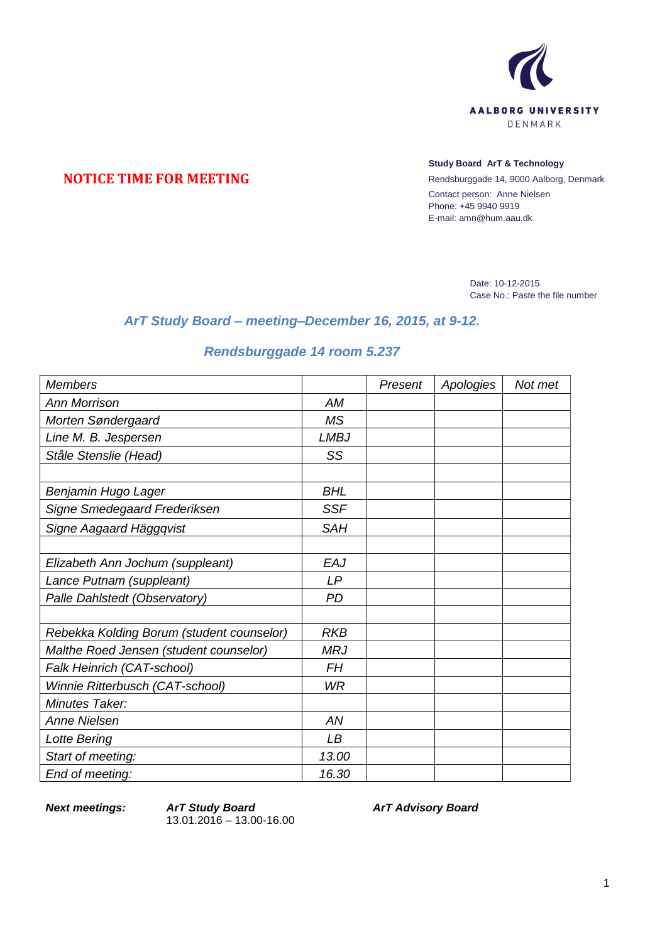

## **NOTICE TIME FOR MEETING**

## **Study Board ArT & Technology**

Rendsburggade 14, 9000 Aalborg, Denmark Contact person: Anne Nielsen Phone: +45 9940 9919 E-mail: amn@hum.aau.dk

> Date: 10-12-2015 Case No.: Paste the file number

## *ArT Study Board – meeting–December 16, 2015, at 9-12.*

## *Rendsburggade 14 room 5.237*

| <b>Members</b>                            |             | Present | Apologies | Not met |
|-------------------------------------------|-------------|---------|-----------|---------|
| <b>Ann Morrison</b>                       | AM          |         |           |         |
| Morten Søndergaard                        | <b>MS</b>   |         |           |         |
| Line M. B. Jespersen                      | <b>LMBJ</b> |         |           |         |
| Ståle Stenslie (Head)                     | SS          |         |           |         |
|                                           |             |         |           |         |
| Benjamin Hugo Lager                       | <b>BHL</b>  |         |           |         |
| Signe Smedegaard Frederiksen              | <b>SSF</b>  |         |           |         |
| Signe Aagaard Häggqvist                   | <b>SAH</b>  |         |           |         |
|                                           |             |         |           |         |
| Elizabeth Ann Jochum (suppleant)          | EAJ         |         |           |         |
| Lance Putnam (suppleant)                  | LP          |         |           |         |
| Palle Dahlstedt (Observatory)             | <b>PD</b>   |         |           |         |
|                                           |             |         |           |         |
| Rebekka Kolding Borum (student counselor) | <b>RKB</b>  |         |           |         |
| Malthe Roed Jensen (student counselor)    | <b>MRJ</b>  |         |           |         |
| Falk Heinrich (CAT-school)                | <b>FH</b>   |         |           |         |
| Winnie Ritterbusch (CAT-school)           | WR          |         |           |         |
| Minutes Taker:                            |             |         |           |         |
| Anne Nielsen                              | AN          |         |           |         |
| Lotte Bering                              | LB          |         |           |         |
| Start of meeting:                         | 13.00       |         |           |         |
| End of meeting:                           | 16.30       |         |           |         |

*Next meetings: ArT Study Board* 13.01.2016 – 13.00-16.00 *ArT Advisory Board*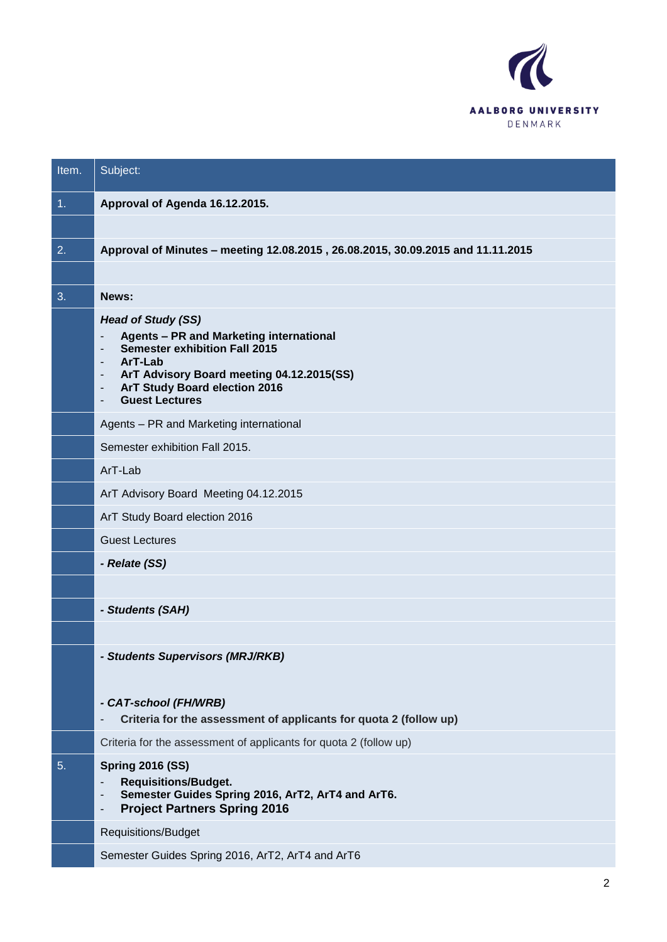

| Item. | Subject:                                                                                                                                                                                                                                                                                           |
|-------|----------------------------------------------------------------------------------------------------------------------------------------------------------------------------------------------------------------------------------------------------------------------------------------------------|
| 1.    | Approval of Agenda 16.12.2015.                                                                                                                                                                                                                                                                     |
|       |                                                                                                                                                                                                                                                                                                    |
| 2.    | Approval of Minutes - meeting 12.08.2015, 26.08.2015, 30.09.2015 and 11.11.2015                                                                                                                                                                                                                    |
|       |                                                                                                                                                                                                                                                                                                    |
| 3.    | News:                                                                                                                                                                                                                                                                                              |
|       | <b>Head of Study (SS)</b><br><b>Agents - PR and Marketing international</b><br><b>Semester exhibition Fall 2015</b><br>ArT-Lab<br>٠<br>ArT Advisory Board meeting 04.12.2015(SS)<br>ArT Study Board election 2016<br>$\overline{\phantom{a}}$<br><b>Guest Lectures</b><br>$\overline{\phantom{a}}$ |
|       | Agents - PR and Marketing international                                                                                                                                                                                                                                                            |
|       | Semester exhibition Fall 2015.                                                                                                                                                                                                                                                                     |
|       | ArT-Lab                                                                                                                                                                                                                                                                                            |
|       | ArT Advisory Board Meeting 04.12.2015                                                                                                                                                                                                                                                              |
|       | ArT Study Board election 2016                                                                                                                                                                                                                                                                      |
|       | <b>Guest Lectures</b>                                                                                                                                                                                                                                                                              |
|       | - Relate (SS)                                                                                                                                                                                                                                                                                      |
|       |                                                                                                                                                                                                                                                                                                    |
|       | - Students (SAH)                                                                                                                                                                                                                                                                                   |
|       |                                                                                                                                                                                                                                                                                                    |
|       | <b>Students Supervisors (MRJ/RKB)</b>                                                                                                                                                                                                                                                              |
|       |                                                                                                                                                                                                                                                                                                    |
|       | - CAT-school (FH/WRB)<br>Criteria for the assessment of applicants for quota 2 (follow up)                                                                                                                                                                                                         |
|       | Criteria for the assessment of applicants for quota 2 (follow up)                                                                                                                                                                                                                                  |
| 5.    | <b>Spring 2016 (SS)</b><br><b>Requisitions/Budget.</b><br>$\overline{\phantom{a}}$<br>Semester Guides Spring 2016, ArT2, ArT4 and ArT6.<br>-<br><b>Project Partners Spring 2016</b><br>-                                                                                                           |
|       | Requisitions/Budget                                                                                                                                                                                                                                                                                |
|       | Semester Guides Spring 2016, ArT2, ArT4 and ArT6                                                                                                                                                                                                                                                   |